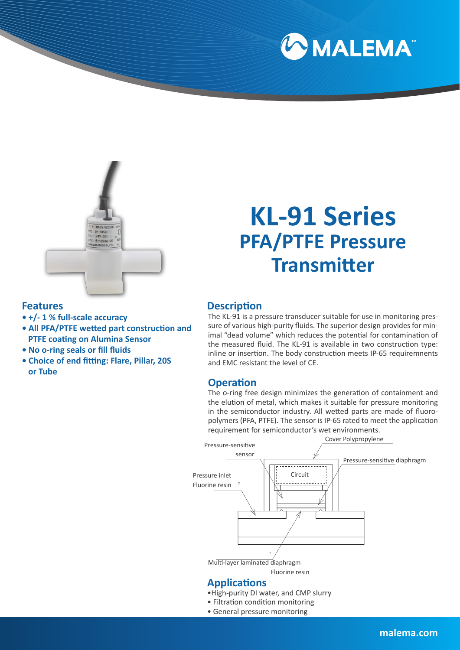



# **KL-91 Series PFA/PTFE Pressure Transmitter**

#### **Description**

**Features**

- **+/- 1 % full-scale accuracy**
- **All PFA/PTFE wetted part construction and PTFE coating on Alumina Sensor**
- **No o-ring seals or fill fluids**
- **Choice of end fitting: Flare, Pillar, 20S or Tube**

The KL-91 is a pressure transducer suitable for use in monitoring pressure of various high-purity fluids. The superior design provides for minimal "dead volume" which reduces the potential for contamination of the measured fluid. The KL-91 is available in two construction type: inline or insertion. The body construction meets IP-65 requiremnents and EMC resistant the level of CE.

#### **Operation**

The o-ring free design minimizes the generation of containment and the elution of metal, which makes it suitable for pressure monitoring in the semiconductor industry. All wetted parts are made of fluoropolymers (PFA, PTFE). The sensor is IP-65 rated to meet the application requirement for semiconductor's wet environments.



- •High-purity DI water, and CMP slurry
- Filtration condition monitoring
- General pressure monitoring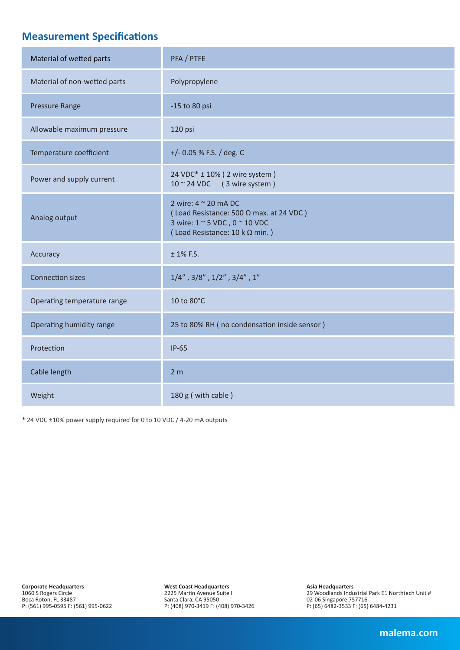# **Measurement Specifications**

| Material of wetted parts     | PFA / PTFE                                                                                                                         |  |  |  |  |  |
|------------------------------|------------------------------------------------------------------------------------------------------------------------------------|--|--|--|--|--|
| Material of non-wetted parts | Polypropylene                                                                                                                      |  |  |  |  |  |
| <b>Pressure Range</b>        | -15 to 80 psi                                                                                                                      |  |  |  |  |  |
| Allowable maximum pressure   | 120 psi                                                                                                                            |  |  |  |  |  |
| Temperature coefficient      | $+/-$ 0.05 % F.S. / deg. C                                                                                                         |  |  |  |  |  |
| Power and supply current     | 24 VDC* ± 10% (2 wire system)<br>$10 \sim 24$ VDC (3 wire system)                                                                  |  |  |  |  |  |
| Analog output                | 2 wire: 4 ~ 20 mA DC<br>(Load Resistance: 500 Q max. at 24 VDC)<br>3 wire: 1 ~ 5 VDC, 0 ~ 10 VDC<br>(Load Resistance: 10 k Ω min.) |  |  |  |  |  |
| Accuracy                     | $±$ 1% F.S.                                                                                                                        |  |  |  |  |  |
| <b>Connection sizes</b>      | $1/4$ ", $3/8$ ", $1/2$ ", $3/4$ ", $1$ "                                                                                          |  |  |  |  |  |
| Operating temperature range  | 10 to 80°C                                                                                                                         |  |  |  |  |  |
| Operating humidity range     | 25 to 80% RH (no condensation inside sensor)                                                                                       |  |  |  |  |  |
| Protection                   | $IP-65$                                                                                                                            |  |  |  |  |  |
| Cable length                 | 2 <sub>m</sub>                                                                                                                     |  |  |  |  |  |
| Weight                       | 180 g (with cable)                                                                                                                 |  |  |  |  |  |

\* 24 VDC ±10% power supply required for 0 to 10 VDC / 4-20 mA outputs

**Corporate Headquarters** 1060 S Rogers Circle Boca Roton, FL 33487 P: (561) 995-0595 F: (561) 995-0622 **West Coast Headquarters** 2225 Martin Avenue Suite I Santa Clara, CA 95050 P: (408) 970-3419 F: (408) 970-3426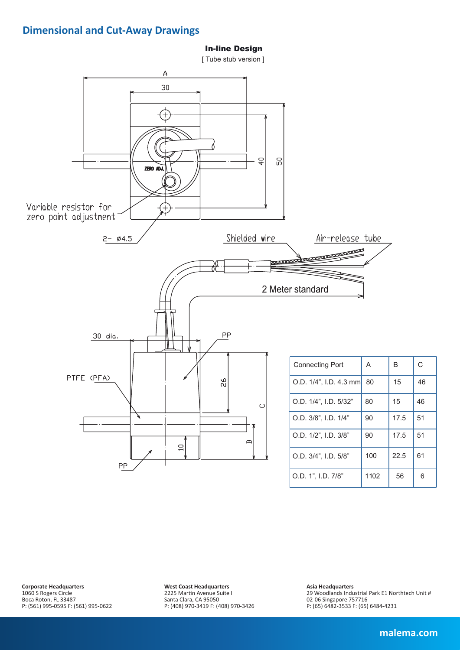#### **Dimensional and Cut-Away Drawings**



**Corporate Headquarters** 1060 S Rogers Circle Boca Roton, FL 33487 P: (561) 995-0595 F: (561) 995-0622 **West Coast Headquarters** 2225 Martin Avenue Suite I Santa Clara, CA 95050 P: (408) 970-3419 F: (408) 970-3426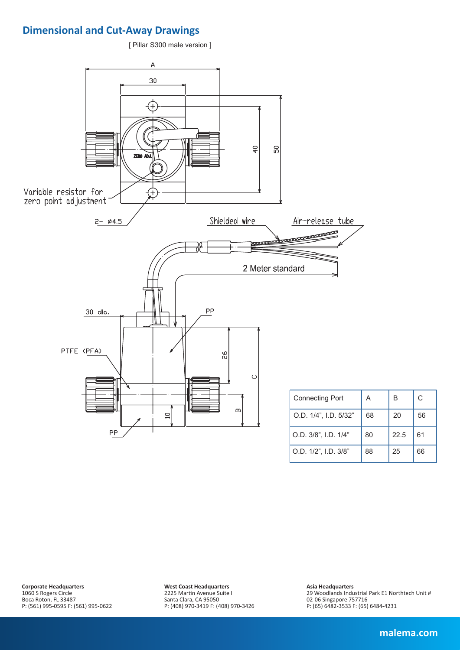## **Dimensional and Cut-Away Drawings**

[ Pillar S300 male version ]



**Corporate Headquarters** 1060 S Rogers Circle Boca Roton, FL 33487 P: (561) 995-0595 F: (561) 995-0622 **West Coast Headquarters** 2225 Martin Avenue Suite I Santa Clara, CA 95050 P: (408) 970-3419 F: (408) 970-3426

**Asia Headquarters** 29 Woodlands Industrial Park E1 Northtech Unit # 02-06 Singapore 757716 P: (65) 6482-3533 F: (65) 6484-4231

C

56

61

66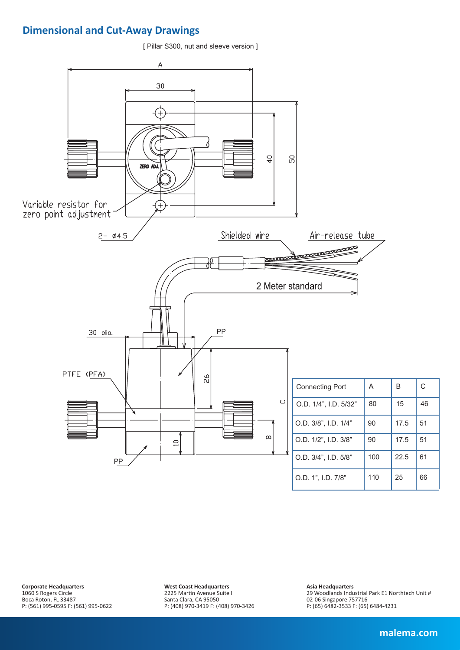## **Dimensional and Cut-Away Drawings**

[ Pillar S300, nut and sleeve version ]



**Corporate Headquarters** 1060 S Rogers Circle Boca Roton, FL 33487 P: (561) 995-0595 F: (561) 995-0622 **West Coast Headquarters** 2225 Martin Avenue Suite I Santa Clara, CA 95050 P: (408) 970-3419 F: (408) 970-3426